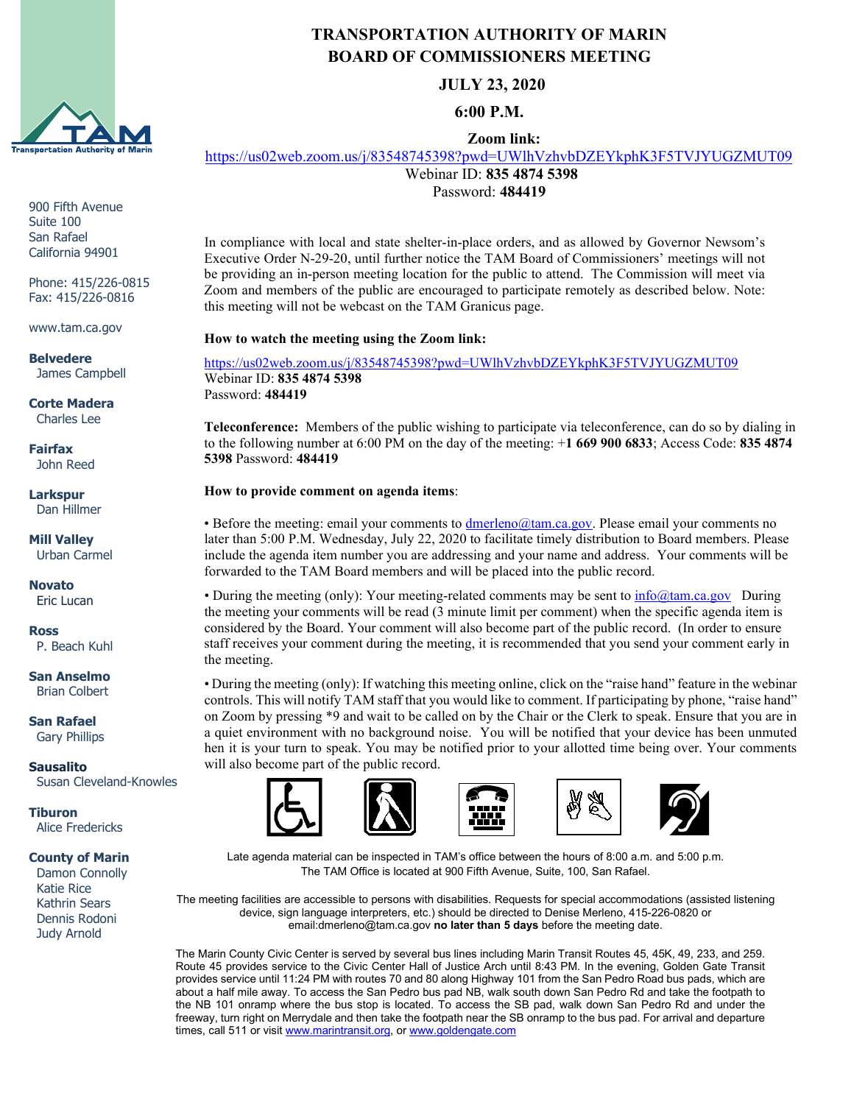

900 Fifth Avenue Suite 100 San Rafael California 94901

Phone: 415/226-0815 Fax: 415/226-0816

www.tam.ca.gov

**Belvedere** James Campbell

**Corte Madera** Charles Lee

**Fairfax** John Reed

**Larkspur** Dan Hillmer

**Mill Valley** Urban Carmel

**Novato** Eric Lucan

**Ross** P. Beach Kuhl

**San Anselmo** Brian Colbert

**San Rafael** Gary Phillips

**Sausalito** Susan Cleveland-Knowles

**Tiburon** Alice Fredericks

## **County of Marin**

 Damon Connolly Katie Rice Kathrin Sears Dennis Rodoni Judy Arnold

## **TRANSPORTATION AUTHORITY OF MARIN BOARD OF COMMISSIONERS MEETING**

**JULY 23, 2020**

**6:00 P.M.**

**Zoom link:**

<https://us02web.zoom.us/j/83548745398?pwd=UWlhVzhvbDZEYkphK3F5TVJYUGZMUT09>

Webinar ID: **835 4874 5398** Password: **484419**

In compliance with local and state shelter-in-place orders, and as allowed by Governor Newsom's Executive Order N-29-20, until further notice the TAM Board of Commissioners' meetings will not be providing an in-person meeting location for the public to attend. The Commission will meet via Zoom and members of the public are encouraged to participate remotely as described below. Note: this meeting will not be webcast on the TAM Granicus page.

**How to watch the meeting using the Zoom link:**

<https://us02web.zoom.us/j/83548745398?pwd=UWlhVzhvbDZEYkphK3F5TVJYUGZMUT09> Webinar ID: **835 4874 5398** Password: **484419**

**Teleconference:** Members of the public wishing to participate via teleconference, can do so by dialing in to the following number at 6:00 PM on the day of the meeting: +**1 669 900 6833**; Access Code: **835 4874 5398** Password: **484419**

## **How to provide comment on agenda items**:

• Before the meeting: email your comments to [dmerleno@tam.ca.gov.](mailto:dmerleno@tam.ca.gov) Please email your comments no later than 5:00 P.M. Wednesday, July 22, 2020 to facilitate timely distribution to Board members. Please include the agenda item number you are addressing and your name and address. Your comments will be forwarded to the TAM Board members and will be placed into the public record.

• During the meeting (only): Your meeting-related comments may be sent to  $\inf_{\Omega}$  (dam.ca.gov During the meeting your comments will be read (3 minute limit per comment) when the specific agenda item is considered by the Board. Your comment will also become part of the public record. (In order to ensure staff receives your comment during the meeting, it is recommended that you send your comment early in the meeting.

• During the meeting (only): If watching this meeting online, click on the "raise hand" feature in the webinar controls. This will notify TAM staff that you would like to comment. If participating by phone, "raise hand" on Zoom by pressing \*9 and wait to be called on by the Chair or the Clerk to speak. Ensure that you are in a quiet environment with no background noise. You will be notified that your device has been unmuted hen it is your turn to speak. You may be notified prior to your allotted time being over. Your comments will also become part of the public record.







Late agenda material can be inspected in TAM's office between the hours of 8:00 a.m. and 5:00 p.m. The TAM Office is located at 900 Fifth Avenue, Suite, 100, San Rafael.

The meeting facilities are accessible to persons with disabilities. Requests for special accommodations (assisted listening device, sign language interpreters, etc.) should be directed to Denise Merleno, 415-226-0820 or email:dmerleno@tam.ca.gov **no later than 5 days** before the meeting date.

The Marin County Civic Center is served by several bus lines including Marin Transit Routes 45, 45K, 49, 233, and 259. Route 45 provides service to the Civic Center Hall of Justice Arch until 8:43 PM. In the evening, Golden Gate Transit provides service until 11:24 PM with routes 70 and 80 along Highway 101 from the San Pedro Road bus pads, which are about a half mile away. To access the San Pedro bus pad NB, walk south down San Pedro Rd and take the footpath to the NB 101 onramp where the bus stop is located. To access the SB pad, walk down San Pedro Rd and under the freeway, turn right on Merrydale and then take the footpath near the SB onramp to the bus pad. For arrival and departure times, call 511 or visit [www.marintransit.org,](file://tamfs2/tam/03.%20TAM%20BOARDS%20&%20COMMITTEES/03.01%20TAM%20Board/03.01.03%20Board%20Packets/www.marintransit.org) o[r www.goldengate.com](file://tamfs2/tam/03.%20TAM%20BOARDS%20&%20COMMITTEES/03.01%20TAM%20Board/03.01.03%20Board%20Packets/www.goldengate.com)